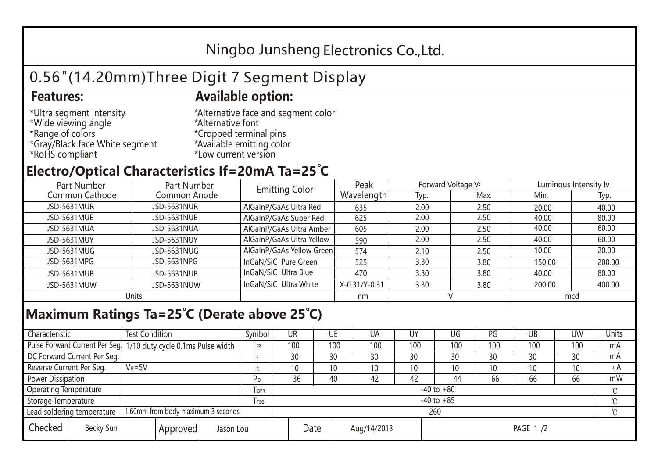## Ningbo Junsheng Electronics Co.,Ltd.

# 0.56"(14.20mm)Three Digit 7 Segment Display

#### **Features: Available option:**

- \*Ultra segment intensity \*Wide viewing angle \*Range of colors \*Gray/Black face White segment \*RoHS compliant
- \*Alternative face and segment color \*Alternative font \*Cropped terminal pins \*Available emitting color \*Low current version

### **Electro/Optical Characteristics If=20mA Ta=25 C**

| Part Number<br>Part Number |              | <b>Emitting Color</b>     | Peak          | Forward Voltage VF |      | Luminous Intensity Iv |        |  |
|----------------------------|--------------|---------------------------|---------------|--------------------|------|-----------------------|--------|--|
| Common Cathode             | Common Anode |                           | Wavelength    | Typ.               | Max. | Min.                  | Typ.   |  |
| JSD-5631MUR                | JSD-5631NUR  | AlGaInP/GaAs Ultra Red    | 635           | 2.00               | 2.50 | 20.00                 | 40.00  |  |
| JSD-5631MUE                | JSD-5631NUE  | AlGaInP/GaAs Super Red    | 625           | 2.00               | 2.50 | 40.00                 | 80.00  |  |
| JSD-5631MUA                | JSD-5631NUA  | AlGaInP/GaAs Ultra Amber  | 605           | 2.00               | 2.50 | 40.00                 | 60.00  |  |
| JSD-5631MUY                | JSD-5631NUY  | AlGaInP/GaAs Ultra Yellow | 590           | 2.00               | 2.50 | 40.00                 | 60.00  |  |
| JSD-5631MUG                | JSD-5631NUG  | AlGaInP/GaAs Yellow Green | 574           | 2.10               | 2.50 | 10.00                 | 20.00  |  |
| JSD-5631MPG                | JSD-5631NPG  | InGaN/SiC Pure Green      | 525           | 3.30               | 3.80 | 150.00                | 200.00 |  |
| JSD-5631MUB                | JSD-5631NUB  | InGaN/SiC Ultra Blue      | 470           | 3.30               | 3.80 | 40.00                 | 80.00  |  |
| JSD-5631MUW                | JSD-5631NUW  | InGaN/SiC Ultra White     | X-0.31/Y-0.31 | 3.30               | 3.80 | 200.00                | 400.00 |  |
| Units                      |              |                           | nm            |                    |      | mcd                   |        |  |

### **Maximum Ratings Ta=25°C (Derate above 25°C)**

| Characteristic                   |  | <b>Test Condition</b>                                            |         |                | Symbol         | UR  |             | UE  | UA       | UY  | UG              | PG  | UB           | <b>UW</b> | Units   |
|----------------------------------|--|------------------------------------------------------------------|---------|----------------|----------------|-----|-------------|-----|----------|-----|-----------------|-----|--------------|-----------|---------|
|                                  |  | Pulse Forward Current Per Seg. 1/10 duty cycle 0.1ms Pulse width |         |                | IFP            | 100 |             | 100 | 100      | 100 | 100             | 100 | 100          | 100       | mA      |
| DC Forward Current Per Seg.      |  |                                                                  |         |                | 30             |     | 30          | 30  | 30       | 30  | 30              | 30  | 30           | mA        |         |
| Reverse Current Per Seg.         |  | $V_R = 5V$                                                       |         |                | I R            | 10  |             | 10  | 10       | 10  | 10 <sup>°</sup> | 10  | 10           | 10        | $\mu$ A |
| <b>Power Dissipation</b>         |  |                                                                  |         |                | P <sub>D</sub> | 36  |             | 40  | 42       | 42  | 44              | 66  | 66           | 66        | mW      |
| <b>Operating Temperature</b>     |  |                                                                  | $I$ OPR | $-40$ to $+80$ |                |     |             |     |          |     |                 |     | $\gamma$     |           |         |
| Storage Temperature              |  |                                                                  | I TSG   | $-40$ to $+85$ |                |     |             |     |          |     |                 |     | $^{\circ}$ C |           |         |
| Lead soldering temperature       |  | 1.60mm from body maximum 3 seconds                               |         |                |                | 260 |             |     |          |     |                 |     |              |           |         |
| Checked<br>Becky Sun<br>Approved |  | Jason Lou                                                        |         | Date           |                |     | Aug/14/2013 |     | PAGE 1/2 |     |                 |     |              |           |         |